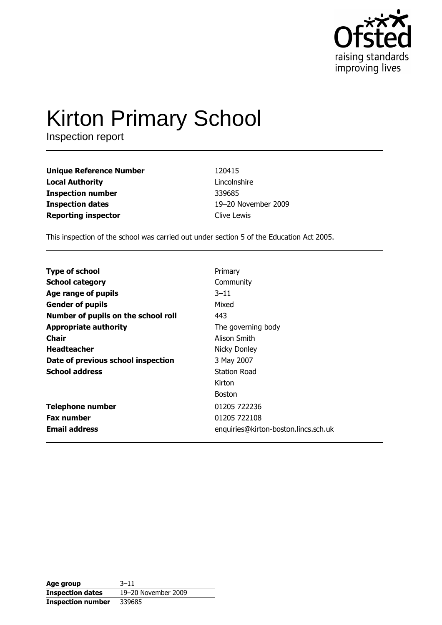

# **Kirton Primary School**

Inspection report

| <b>Unique Reference Number</b> | 120415    |
|--------------------------------|-----------|
| <b>Local Authority</b>         | Lincoln   |
| <b>Inspection number</b>       | 339685    |
| <b>Inspection dates</b>        | $19 - 20$ |
| <b>Reporting inspector</b>     | Clive Le  |

 $\overline{\mathbf{5}}$ ishire November 2009 ewis

This inspection of the school was carried out under section 5 of the Education Act 2005.

| <b>Type of school</b>               | Primary                              |
|-------------------------------------|--------------------------------------|
| <b>School category</b>              | Community                            |
| Age range of pupils                 | 3–11                                 |
| <b>Gender of pupils</b>             | Mixed                                |
| Number of pupils on the school roll | 443                                  |
| <b>Appropriate authority</b>        | The governing body                   |
| <b>Chair</b>                        | Alison Smith                         |
| <b>Headteacher</b>                  | Nicky Donley                         |
| Date of previous school inspection  | 3 May 2007                           |
| <b>School address</b>               | Station Road                         |
|                                     | Kirton                               |
|                                     | <b>Boston</b>                        |
| <b>Telephone number</b>             | 01205 722236                         |
| <b>Fax number</b>                   | 01205 722108                         |
| <b>Email address</b>                | enquiries@kirton-boston.lincs.sch.uk |

| Age group                | $3 - 11$            |
|--------------------------|---------------------|
| <b>Inspection dates</b>  | 19-20 November 2009 |
| <b>Inspection number</b> | 339685              |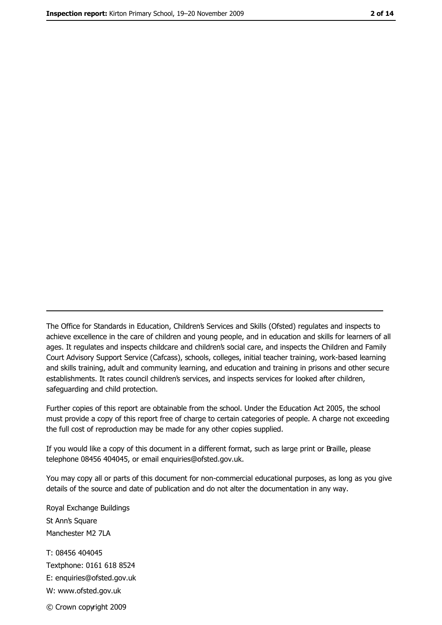The Office for Standards in Education, Children's Services and Skills (Ofsted) regulates and inspects to achieve excellence in the care of children and young people, and in education and skills for learners of all ages. It regulates and inspects childcare and children's social care, and inspects the Children and Family Court Advisory Support Service (Cafcass), schools, colleges, initial teacher training, work-based learning and skills training, adult and community learning, and education and training in prisons and other secure establishments. It rates council children's services, and inspects services for looked after children, safequarding and child protection.

Further copies of this report are obtainable from the school. Under the Education Act 2005, the school must provide a copy of this report free of charge to certain categories of people. A charge not exceeding the full cost of reproduction may be made for any other copies supplied.

If you would like a copy of this document in a different format, such as large print or Braille, please telephone 08456 404045, or email enquiries@ofsted.gov.uk.

You may copy all or parts of this document for non-commercial educational purposes, as long as you give details of the source and date of publication and do not alter the documentation in any way.

Royal Exchange Buildings St Ann's Square Manchester M2 7LA T: 08456 404045 Textphone: 0161 618 8524 E: enquiries@ofsted.gov.uk W: www.ofsted.gov.uk © Crown copyright 2009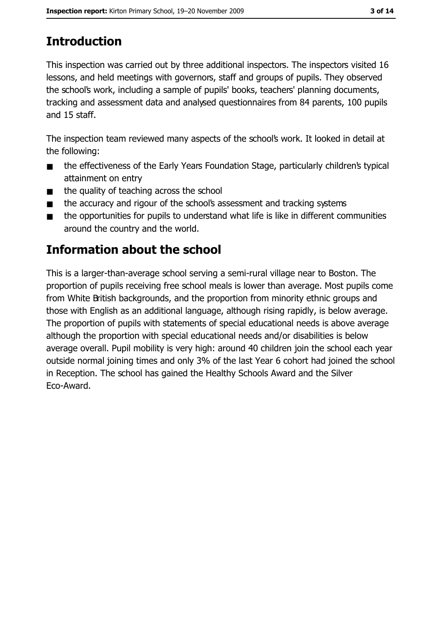# **Introduction**

This inspection was carried out by three additional inspectors. The inspectors visited 16 lessons, and held meetings with governors, staff and groups of pupils. They observed the school's work, including a sample of pupils' books, teachers' planning documents, tracking and assessment data and analysed questionnaires from 84 parents, 100 pupils and 15 staff.

The inspection team reviewed many aspects of the school's work. It looked in detail at the following:

- the effectiveness of the Early Years Foundation Stage, particularly children's typical  $\blacksquare$ attainment on entry
- the quality of teaching across the school  $\blacksquare$
- the accuracy and rigour of the school's assessment and tracking systems  $\blacksquare$
- the opportunities for pupils to understand what life is like in different communities  $\blacksquare$ around the country and the world.

# Information about the school

This is a larger-than-average school serving a semi-rural village near to Boston. The proportion of pupils receiving free school meals is lower than average. Most pupils come from White British backgrounds, and the proportion from minority ethnic groups and those with English as an additional language, although rising rapidly, is below average. The proportion of pupils with statements of special educational needs is above average although the proportion with special educational needs and/or disabilities is below average overall. Pupil mobility is very high: around 40 children join the school each year outside normal joining times and only 3% of the last Year 6 cohort had joined the school in Reception. The school has gained the Healthy Schools Award and the Silver Eco-Award.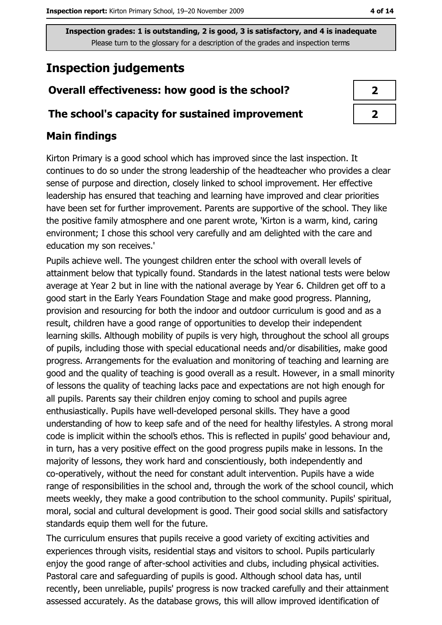# **Inspection judgements**

# Overall effectiveness: how good is the school?

## The school's capacity for sustained improvement

## **Main findings**

Kirton Primary is a good school which has improved since the last inspection. It continues to do so under the strong leadership of the headteacher who provides a clear sense of purpose and direction, closely linked to school improvement. Her effective leadership has ensured that teaching and learning have improved and clear priorities have been set for further improvement. Parents are supportive of the school. They like the positive family atmosphere and one parent wrote, 'Kirton is a warm, kind, caring environment; I chose this school very carefully and am delighted with the care and education my son receives.'

Pupils achieve well. The youngest children enter the school with overall levels of attainment below that typically found. Standards in the latest national tests were below average at Year 2 but in line with the national average by Year 6. Children get off to a good start in the Early Years Foundation Stage and make good progress. Planning, provision and resourcing for both the indoor and outdoor curriculum is good and as a result, children have a good range of opportunities to develop their independent learning skills. Although mobility of pupils is very high, throughout the school all groups of pupils, including those with special educational needs and/or disabilities, make good progress. Arrangements for the evaluation and monitoring of teaching and learning are good and the quality of teaching is good overall as a result. However, in a small minority of lessons the quality of teaching lacks pace and expectations are not high enough for all pupils. Parents say their children enjoy coming to school and pupils agree enthusiastically. Pupils have well-developed personal skills. They have a good understanding of how to keep safe and of the need for healthy lifestyles. A strong moral code is implicit within the school's ethos. This is reflected in pupils' good behaviour and, in turn, has a very positive effect on the good progress pupils make in lessons. In the majority of lessons, they work hard and conscientiously, both independently and co-operatively, without the need for constant adult intervention. Pupils have a wide range of responsibilities in the school and, through the work of the school council, which meets weekly, they make a good contribution to the school community. Pupils' spiritual, moral, social and cultural development is good. Their good social skills and satisfactory standards equip them well for the future.

The curriculum ensures that pupils receive a good variety of exciting activities and experiences through visits, residential stays and visitors to school. Pupils particularly enjoy the good range of after-school activities and clubs, including physical activities. Pastoral care and safeguarding of pupils is good. Although school data has, until recently, been unreliable, pupils' progress is now tracked carefully and their attainment assessed accurately. As the database grows, this will allow improved identification of

| , |
|---|
|   |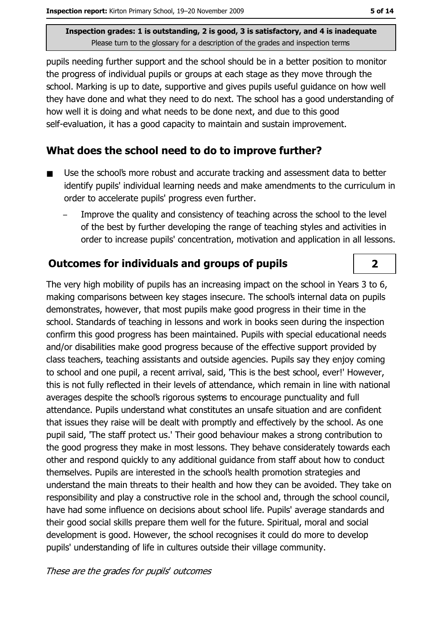pupils needing further support and the school should be in a better position to monitor the progress of individual pupils or groups at each stage as they move through the school. Marking is up to date, supportive and gives pupils useful guidance on how well they have done and what they need to do next. The school has a good understanding of how well it is doing and what needs to be done next, and due to this good self-evaluation, it has a good capacity to maintain and sustain improvement.

## What does the school need to do to improve further?

- Use the school's more robust and accurate tracking and assessment data to better  $\blacksquare$ identify pupils' individual learning needs and make amendments to the curriculum in order to accelerate pupils' progress even further.
	- Improve the quality and consistency of teaching across the school to the level of the best by further developing the range of teaching styles and activities in order to increase pupils' concentration, motivation and application in all lessons.

# **Outcomes for individuals and groups of pupils**

The very high mobility of pupils has an increasing impact on the school in Years 3 to 6, making comparisons between key stages insecure. The school's internal data on pupils demonstrates, however, that most pupils make good progress in their time in the school. Standards of teaching in lessons and work in books seen during the inspection confirm this good progress has been maintained. Pupils with special educational needs and/or disabilities make good progress because of the effective support provided by class teachers, teaching assistants and outside agencies. Pupils say they enjoy coming to school and one pupil, a recent arrival, said, This is the best school, ever!' However, this is not fully reflected in their levels of attendance, which remain in line with national averages despite the school's rigorous systems to encourage punctuality and full attendance. Pupils understand what constitutes an unsafe situation and are confident that issues they raise will be dealt with promptly and effectively by the school. As one pupil said, The staff protect us.' Their good behaviour makes a strong contribution to the good progress they make in most lessons. They behave considerately towards each other and respond quickly to any additional quidance from staff about how to conduct themselves. Pupils are interested in the school's health promotion strategies and understand the main threats to their health and how they can be avoided. They take on responsibility and play a constructive role in the school and, through the school council, have had some influence on decisions about school life. Pupils' average standards and their good social skills prepare them well for the future. Spiritual, moral and social development is good. However, the school recognises it could do more to develop pupils' understanding of life in cultures outside their village community.

These are the grades for pupils' outcomes

 $\overline{2}$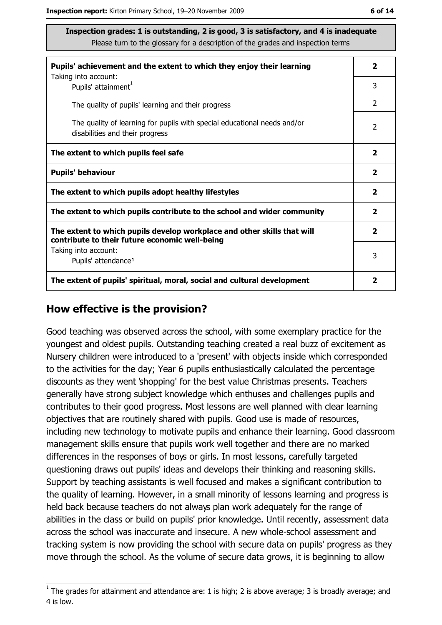| Pupils' achievement and the extent to which they enjoy their learning                                                     | $\overline{\mathbf{2}}$ |
|---------------------------------------------------------------------------------------------------------------------------|-------------------------|
| Taking into account:<br>Pupils' attainment <sup>1</sup>                                                                   | 3                       |
| The quality of pupils' learning and their progress                                                                        | 2                       |
| The quality of learning for pupils with special educational needs and/or<br>disabilities and their progress               | $\overline{2}$          |
| The extent to which pupils feel safe                                                                                      | $\mathbf{2}$            |
| <b>Pupils' behaviour</b>                                                                                                  | $\overline{\mathbf{2}}$ |
| The extent to which pupils adopt healthy lifestyles                                                                       | $\mathbf{2}$            |
| The extent to which pupils contribute to the school and wider community                                                   | $\mathbf{2}$            |
| The extent to which pupils develop workplace and other skills that will<br>contribute to their future economic well-being | $\overline{\mathbf{2}}$ |
| Taking into account:<br>Pupils' attendance <sup>1</sup>                                                                   | 3                       |
| The extent of pupils' spiritual, moral, social and cultural development                                                   | 2                       |

#### How effective is the provision?

Good teaching was observed across the school, with some exemplary practice for the youngest and oldest pupils. Outstanding teaching created a real buzz of excitement as Nursery children were introduced to a 'present' with objects inside which corresponded to the activities for the day; Year 6 pupils enthusiastically calculated the percentage discounts as they went 'shopping' for the best value Christmas presents. Teachers generally have strong subject knowledge which enthuses and challenges pupils and contributes to their good progress. Most lessons are well planned with clear learning objectives that are routinely shared with pupils. Good use is made of resources, including new technology to motivate pupils and enhance their learning. Good classroom management skills ensure that pupils work well together and there are no marked differences in the responses of boys or girls. In most lessons, carefully targeted questioning draws out pupils' ideas and develops their thinking and reasoning skills. Support by teaching assistants is well focused and makes a significant contribution to the quality of learning. However, in a small minority of lessons learning and progress is held back because teachers do not always plan work adequately for the range of abilities in the class or build on pupils' prior knowledge. Until recently, assessment data across the school was inaccurate and insecure. A new whole-school assessment and tracking system is now providing the school with secure data on pupils' progress as they move through the school. As the volume of secure data grows, it is beginning to allow

 $1$  The grades for attainment and attendance are: 1 is high; 2 is above average; 3 is broadly average; and 4 is low.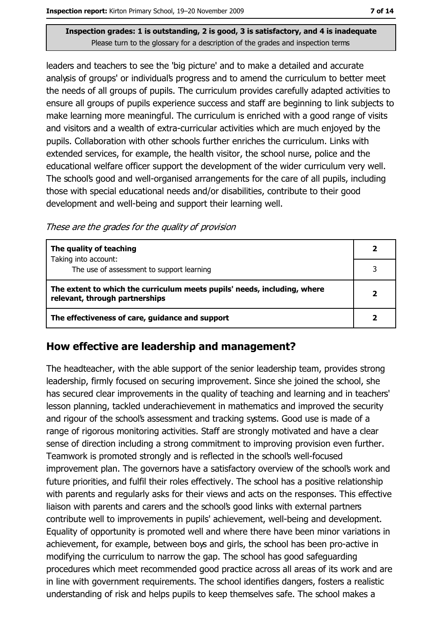leaders and teachers to see the 'big picture' and to make a detailed and accurate analysis of groups' or individual's progress and to amend the curriculum to better meet the needs of all groups of pupils. The curriculum provides carefully adapted activities to ensure all groups of pupils experience success and staff are beginning to link subjects to make learning more meaningful. The curriculum is enriched with a good range of visits and visitors and a wealth of extra-curricular activities which are much enjoyed by the pupils. Collaboration with other schools further enriches the curriculum. Links with extended services, for example, the health visitor, the school nurse, police and the educational welfare officer support the development of the wider curriculum very well. The school's good and well-organised arrangements for the care of all pupils, including those with special educational needs and/or disabilities, contribute to their good development and well-being and support their learning well.

These are the grades for the quality of provision

| The quality of teaching                                                                                    |  |
|------------------------------------------------------------------------------------------------------------|--|
| Taking into account:<br>The use of assessment to support learning                                          |  |
| The extent to which the curriculum meets pupils' needs, including, where<br>relevant, through partnerships |  |
| The effectiveness of care, guidance and support                                                            |  |

## How effective are leadership and management?

The headteacher, with the able support of the senior leadership team, provides strong leadership, firmly focused on securing improvement. Since she joined the school, she has secured clear improvements in the quality of teaching and learning and in teachers' lesson planning, tackled underachievement in mathematics and improved the security and rigour of the school's assessment and tracking systems. Good use is made of a range of rigorous monitoring activities. Staff are strongly motivated and have a clear sense of direction including a strong commitment to improving provision even further. Teamwork is promoted strongly and is reflected in the school's well-focused improvement plan. The governors have a satisfactory overview of the school's work and future priorities, and fulfil their roles effectively. The school has a positive relationship with parents and regularly asks for their views and acts on the responses. This effective liaison with parents and carers and the school's good links with external partners contribute well to improvements in pupils' achievement, well-being and development. Equality of opportunity is promoted well and where there have been minor variations in achievement, for example, between boys and girls, the school has been pro-active in modifying the curriculum to narrow the gap. The school has good safeguarding procedures which meet recommended good practice across all areas of its work and are in line with government requirements. The school identifies dangers, fosters a realistic understanding of risk and helps pupils to keep themselves safe. The school makes a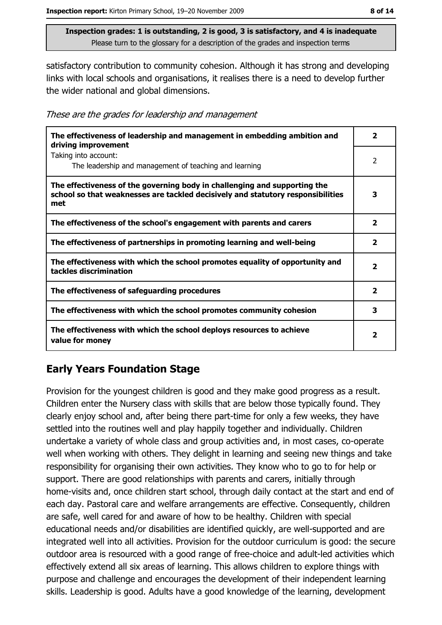satisfactory contribution to community cohesion. Although it has strong and developing links with local schools and organisations, it realises there is a need to develop further the wider national and global dimensions.

These are the grades for leadership and management

| The effectiveness of leadership and management in embedding ambition and<br>driving improvement                                                                     | $\overline{\mathbf{2}}$ |
|---------------------------------------------------------------------------------------------------------------------------------------------------------------------|-------------------------|
| Taking into account:<br>The leadership and management of teaching and learning                                                                                      | $\overline{2}$          |
| The effectiveness of the governing body in challenging and supporting the<br>school so that weaknesses are tackled decisively and statutory responsibilities<br>met | 3                       |
| The effectiveness of the school's engagement with parents and carers                                                                                                | $\overline{\mathbf{2}}$ |
| The effectiveness of partnerships in promoting learning and well-being                                                                                              | 2                       |
| The effectiveness with which the school promotes equality of opportunity and<br>tackles discrimination                                                              | $\overline{\mathbf{2}}$ |
| The effectiveness of safeguarding procedures                                                                                                                        | $\overline{\mathbf{2}}$ |
| The effectiveness with which the school promotes community cohesion                                                                                                 | 3                       |
| The effectiveness with which the school deploys resources to achieve<br>value for money                                                                             | 2                       |

# **Early Years Foundation Stage**

Provision for the youngest children is good and they make good progress as a result. Children enter the Nursery class with skills that are below those typically found. They clearly enjoy school and, after being there part-time for only a few weeks, they have settled into the routines well and play happily together and individually. Children undertake a variety of whole class and group activities and, in most cases, co-operate well when working with others. They delight in learning and seeing new things and take responsibility for organising their own activities. They know who to go to for help or support. There are good relationships with parents and carers, initially through home-visits and, once children start school, through daily contact at the start and end of each day. Pastoral care and welfare arrangements are effective. Consequently, children are safe, well cared for and aware of how to be healthy. Children with special educational needs and/or disabilities are identified quickly, are well-supported and are integrated well into all activities. Provision for the outdoor curriculum is good: the secure outdoor area is resourced with a good range of free-choice and adult-led activities which effectively extend all six areas of learning. This allows children to explore things with purpose and challenge and encourages the development of their independent learning skills. Leadership is good. Adults have a good knowledge of the learning, development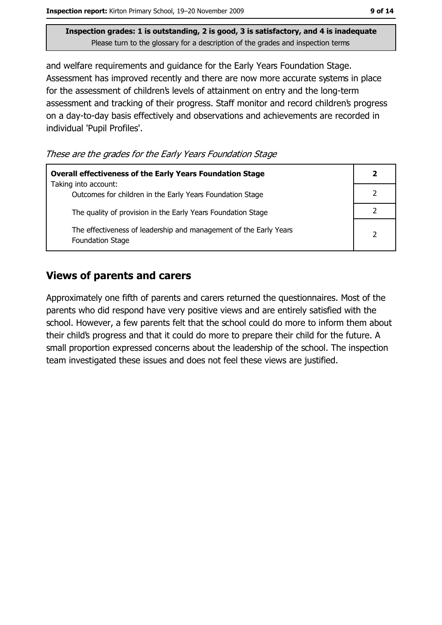Inspection report: Kirton Primary School, 19-20 November 2009

Inspection grades: 1 is outstanding, 2 is good, 3 is satisfactory, and 4 is inadequate Please turn to the glossary for a description of the grades and inspection terms

and welfare requirements and guidance for the Early Years Foundation Stage. Assessment has improved recently and there are now more accurate systems in place for the assessment of children's levels of attainment on entry and the long-term assessment and tracking of their progress. Staff monitor and record children's progress on a day-to-day basis effectively and observations and achievements are recorded in individual 'Pupil Profiles'.

These are the grades for the Early Years Foundation Stage

| <b>Overall effectiveness of the Early Years Foundation Stage</b>                             | $\mathbf{2}$   |
|----------------------------------------------------------------------------------------------|----------------|
| Taking into account:<br>Outcomes for children in the Early Years Foundation Stage            |                |
| The quality of provision in the Early Years Foundation Stage                                 |                |
| The effectiveness of leadership and management of the Early Years<br><b>Foundation Stage</b> | $\overline{2}$ |

## **Views of parents and carers**

Approximately one fifth of parents and carers returned the questionnaires. Most of the parents who did respond have very positive views and are entirely satisfied with the school. However, a few parents felt that the school could do more to inform them about their child's progress and that it could do more to prepare their child for the future. A small proportion expressed concerns about the leadership of the school. The inspection team investigated these issues and does not feel these views are justified.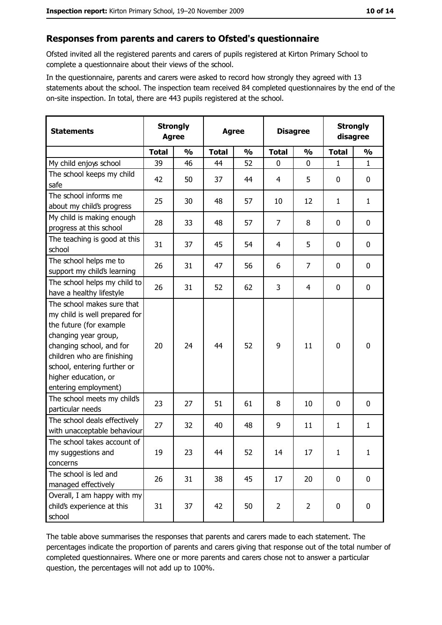#### Responses from parents and carers to Ofsted's questionnaire

Ofsted invited all the registered parents and carers of pupils registered at Kirton Primary School to complete a questionnaire about their views of the school.

In the questionnaire, parents and carers were asked to record how strongly they agreed with 13 statements about the school. The inspection team received 84 completed questionnaires by the end of the on-site inspection. In total, there are 443 pupils registered at the school.

| <b>Statements</b>                                                                                                                                                                                                                                       | <b>Strongly</b><br><b>Agree</b> |               | <b>Agree</b> |               | <b>Disagree</b> |                | <b>Strongly</b><br>disagree |               |
|---------------------------------------------------------------------------------------------------------------------------------------------------------------------------------------------------------------------------------------------------------|---------------------------------|---------------|--------------|---------------|-----------------|----------------|-----------------------------|---------------|
|                                                                                                                                                                                                                                                         | <b>Total</b>                    | $\frac{1}{2}$ | <b>Total</b> | $\frac{1}{2}$ | <b>Total</b>    | $\frac{0}{0}$  | <b>Total</b>                | $\frac{0}{0}$ |
| My child enjoys school                                                                                                                                                                                                                                  | 39                              | 46            | 44           | 52            | $\mathbf 0$     | 0              | 1                           | $\mathbf{1}$  |
| The school keeps my child<br>safe                                                                                                                                                                                                                       | 42                              | 50            | 37           | 44            | 4               | 5              | 0                           | $\mathbf 0$   |
| The school informs me<br>about my child's progress                                                                                                                                                                                                      | 25                              | 30            | 48           | 57            | 10              | 12             | 1                           | $\mathbf{1}$  |
| My child is making enough<br>progress at this school                                                                                                                                                                                                    | 28                              | 33            | 48           | 57            | 7               | 8              | 0                           | $\mathbf 0$   |
| The teaching is good at this<br>school                                                                                                                                                                                                                  | 31                              | 37            | 45           | 54            | $\overline{4}$  | 5              | 0                           | $\mathbf 0$   |
| The school helps me to<br>support my child's learning                                                                                                                                                                                                   | 26                              | 31            | 47           | 56            | 6               | $\overline{7}$ | 0                           | $\mathbf 0$   |
| The school helps my child to<br>have a healthy lifestyle                                                                                                                                                                                                | 26                              | 31            | 52           | 62            | 3               | 4              | 0                           | 0             |
| The school makes sure that<br>my child is well prepared for<br>the future (for example<br>changing year group,<br>changing school, and for<br>children who are finishing<br>school, entering further or<br>higher education, or<br>entering employment) | 20                              | 24            | 44           | 52            | 9               | 11             | 0                           | $\mathbf 0$   |
| The school meets my child's<br>particular needs                                                                                                                                                                                                         | 23                              | 27            | 51           | 61            | 8               | 10             | 0                           | 0             |
| The school deals effectively<br>with unacceptable behaviour                                                                                                                                                                                             | 27                              | 32            | 40           | 48            | 9               | 11             | 1                           | $\mathbf{1}$  |
| The school takes account of<br>my suggestions and<br>concerns                                                                                                                                                                                           | 19                              | 23            | 44           | 52            | 14              | 17             | $\mathbf{1}$                | $\mathbf{1}$  |
| The school is led and<br>managed effectively                                                                                                                                                                                                            | 26                              | 31            | 38           | 45            | 17              | 20             | $\mathbf 0$                 | $\mathbf 0$   |
| Overall, I am happy with my<br>child's experience at this<br>school                                                                                                                                                                                     | 31                              | 37            | 42           | 50            | $\overline{2}$  | $\overline{2}$ | 0                           | $\pmb{0}$     |

The table above summarises the responses that parents and carers made to each statement. The percentages indicate the proportion of parents and carers giving that response out of the total number of completed questionnaires. Where one or more parents and carers chose not to answer a particular question, the percentages will not add up to 100%.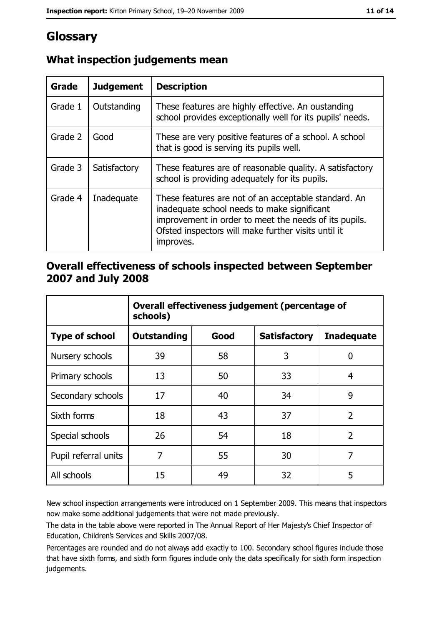# Glossary

| Grade   | <b>Judgement</b> | <b>Description</b>                                                                                                                                                                                                               |
|---------|------------------|----------------------------------------------------------------------------------------------------------------------------------------------------------------------------------------------------------------------------------|
| Grade 1 | Outstanding      | These features are highly effective. An oustanding<br>school provides exceptionally well for its pupils' needs.                                                                                                                  |
| Grade 2 | Good             | These are very positive features of a school. A school<br>that is good is serving its pupils well.                                                                                                                               |
| Grade 3 | Satisfactory     | These features are of reasonable quality. A satisfactory<br>school is providing adequately for its pupils.                                                                                                                       |
| Grade 4 | Inadequate       | These features are not of an acceptable standard. An<br>inadequate school needs to make significant<br>improvement in order to meet the needs of its pupils.<br>Ofsted inspectors will make further visits until it<br>improves. |

# What inspection judgements mean

## Overall effectiveness of schools inspected between September 2007 and July 2008

|                       | Overall effectiveness judgement (percentage of<br>schools) |      |                     |                   |
|-----------------------|------------------------------------------------------------|------|---------------------|-------------------|
| <b>Type of school</b> | <b>Outstanding</b>                                         | Good | <b>Satisfactory</b> | <b>Inadequate</b> |
| Nursery schools       | 39                                                         | 58   | 3                   | 0                 |
| Primary schools       | 13                                                         | 50   | 33                  | 4                 |
| Secondary schools     | 17                                                         | 40   | 34                  | 9                 |
| Sixth forms           | 18                                                         | 43   | 37                  | $\overline{2}$    |
| Special schools       | 26                                                         | 54   | 18                  | $\overline{2}$    |
| Pupil referral units  | 7                                                          | 55   | 30                  | 7                 |
| All schools           | 15                                                         | 49   | 32                  | 5                 |

New school inspection arrangements were introduced on 1 September 2009. This means that inspectors now make some additional judgements that were not made previously.

The data in the table above were reported in The Annual Report of Her Majesty's Chief Inspector of Education, Children's Services and Skills 2007/08.

Percentages are rounded and do not always add exactly to 100. Secondary school figures include those that have sixth forms, and sixth form figures include only the data specifically for sixth form inspection judgements.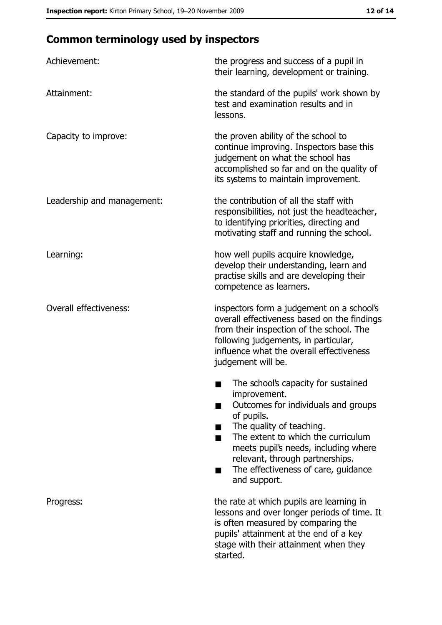# **Common terminology used by inspectors**

| Achievement:                  | the progress and success of a pupil in<br>their learning, development or training.                                                                                                                                                                                                                           |
|-------------------------------|--------------------------------------------------------------------------------------------------------------------------------------------------------------------------------------------------------------------------------------------------------------------------------------------------------------|
| Attainment:                   | the standard of the pupils' work shown by<br>test and examination results and in<br>lessons.                                                                                                                                                                                                                 |
| Capacity to improve:          | the proven ability of the school to<br>continue improving. Inspectors base this<br>judgement on what the school has<br>accomplished so far and on the quality of<br>its systems to maintain improvement.                                                                                                     |
| Leadership and management:    | the contribution of all the staff with<br>responsibilities, not just the headteacher,<br>to identifying priorities, directing and<br>motivating staff and running the school.                                                                                                                                |
| Learning:                     | how well pupils acquire knowledge,<br>develop their understanding, learn and<br>practise skills and are developing their<br>competence as learners.                                                                                                                                                          |
| <b>Overall effectiveness:</b> | inspectors form a judgement on a school's<br>overall effectiveness based on the findings<br>from their inspection of the school. The<br>following judgements, in particular,<br>influence what the overall effectiveness<br>judgement will be.                                                               |
|                               | The school's capacity for sustained<br>improvement.<br>Outcomes for individuals and groups<br>of pupils.<br>The quality of teaching.<br>The extent to which the curriculum<br>meets pupil's needs, including where<br>relevant, through partnerships.<br>The effectiveness of care, guidance<br>and support. |
| Progress:                     | the rate at which pupils are learning in<br>lessons and over longer periods of time. It<br>is often measured by comparing the<br>pupils' attainment at the end of a key<br>stage with their attainment when they<br>started.                                                                                 |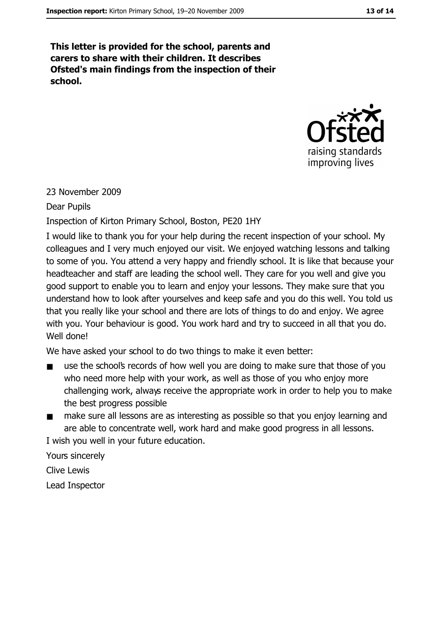This letter is provided for the school, parents and carers to share with their children. It describes Ofsted's main findings from the inspection of their school.



#### 23 November 2009

**Dear Pupils** 

Inspection of Kirton Primary School, Boston, PE20 1HY

I would like to thank you for your help during the recent inspection of your school. My colleagues and I very much enjoyed our visit. We enjoyed watching lessons and talking to some of you. You attend a very happy and friendly school. It is like that because your headteacher and staff are leading the school well. They care for you well and give you good support to enable you to learn and enjoy your lessons. They make sure that you understand how to look after yourselves and keep safe and you do this well. You told us that you really like your school and there are lots of things to do and enjoy. We agree with you. Your behaviour is good. You work hard and try to succeed in all that you do. Well done!

We have asked your school to do two things to make it even better:

- use the school's records of how well you are doing to make sure that those of you  $\blacksquare$ who need more help with your work, as well as those of you who enjoy more challenging work, always receive the appropriate work in order to help you to make the best progress possible
- make sure all lessons are as interesting as possible so that you enjoy learning and  $\blacksquare$ are able to concentrate well, work hard and make good progress in all lessons. I wish you well in your future education.

Yours sincerely

**Clive Lewis** Lead Inspector